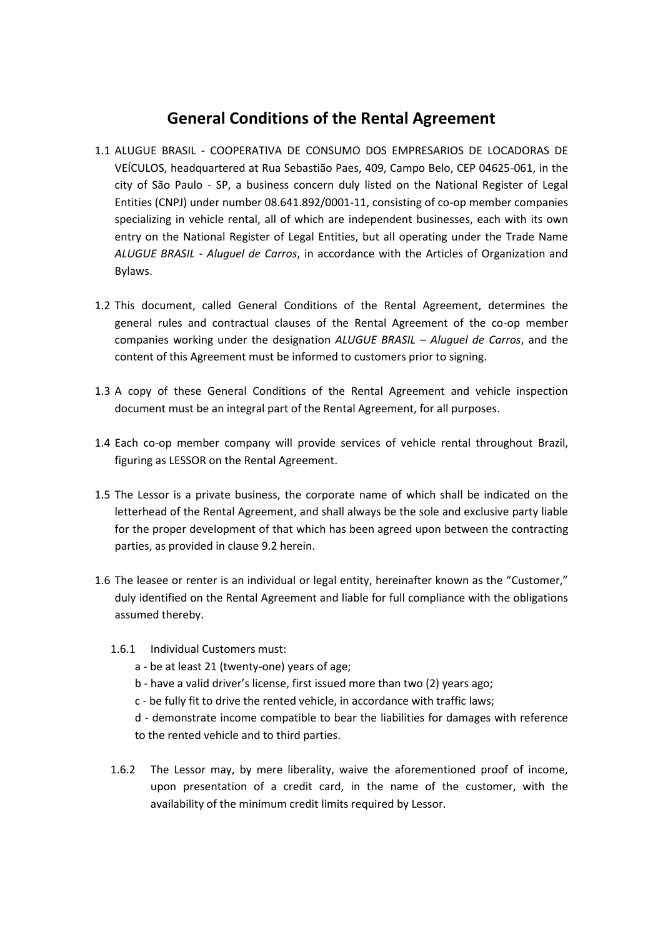# **General Conditions of the Rental Agreement**

- 1.1 ALUGUE BRASIL COOPERATIVA DE CONSUMO DOS EMPRESARIOS DE LOCADORAS DE VEÍCULOS, headquartered at Rua Sebastião Paes, 409, Campo Belo, CEP 04625-061, in the city of São Paulo - SP, a business concern duly listed on the National Register of Legal Entities (CNPJ) under number 08.641.892/0001-11, consisting of co-op member companies specializing in vehicle rental, all of which are independent businesses, each with its own entry on the National Register of Legal Entities, but all operating under the Trade Name *ALUGUE BRASIL - Aluguel de Carros*, in accordance with the Articles of Organization and Bylaws.
- 1.2 This document, called General Conditions of the Rental Agreement, determines the general rules and contractual clauses of the Rental Agreement of the co-op member companies working under the designation *ALUGUE BRASIL – Aluguel de Carros*, and the content of this Agreement must be informed to customers prior to signing.
- 1.3 A copy of these General Conditions of the Rental Agreement and vehicle inspection document must be an integral part of the Rental Agreement, for all purposes.
- 1.4 Each co-op member company will provide services of vehicle rental throughout Brazil, figuring as LESSOR on the Rental Agreement.
- 1.5 The Lessor is a private business, the corporate name of which shall be indicated on the letterhead of the Rental Agreement, and shall always be the sole and exclusive party liable for the proper development of that which has been agreed upon between the contracting parties, as provided in clause 9.2 herein.
- 1.6 The leasee or renter is an individual or legal entity, hereinafter known as the "Customer," duly identified on the Rental Agreement and liable for full compliance with the obligations assumed thereby.
	- 1.6.1 Individual Customers must:
		- a be at least 21 (twenty-one) years of age;
		- b have a valid driver's license, first issued more than two (2) years ago;
		- c be fully fit to drive the rented vehicle, in accordance with traffic laws;
		- d demonstrate income compatible to bear the liabilities for damages with reference to the rented vehicle and to third parties.
	- 1.6.2 The Lessor may, by mere liberality, waive the aforementioned proof of income, upon presentation of a credit card, in the name of the customer, with the availability of the minimum credit limits required by Lessor.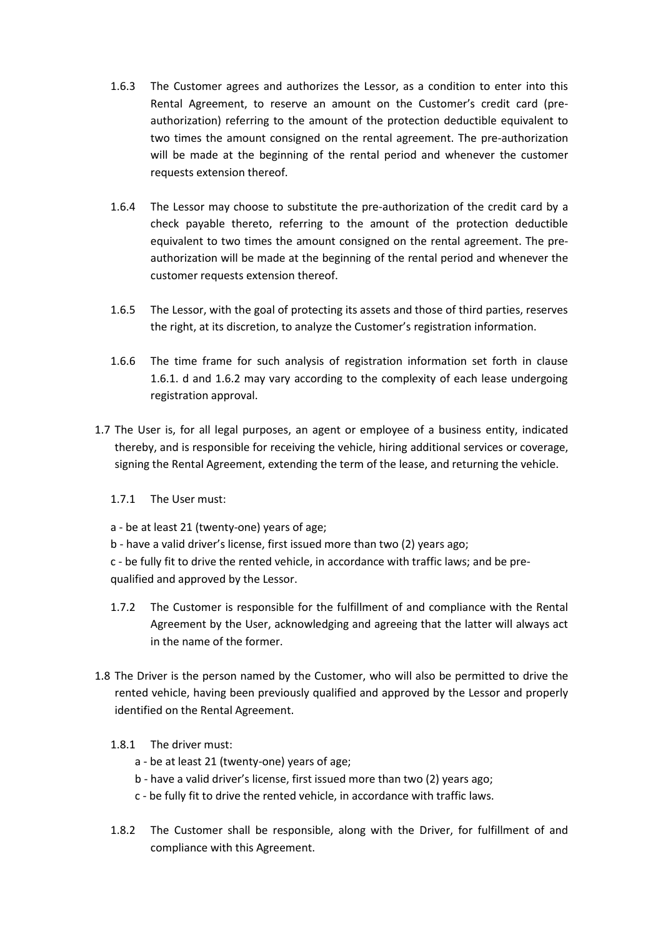- 1.6.3 The Customer agrees and authorizes the Lessor, as a condition to enter into this Rental Agreement, to reserve an amount on the Customer's credit card (preauthorization) referring to the amount of the protection deductible equivalent to two times the amount consigned on the rental agreement. The pre-authorization will be made at the beginning of the rental period and whenever the customer requests extension thereof.
- 1.6.4 The Lessor may choose to substitute the pre-authorization of the credit card by a check payable thereto, referring to the amount of the protection deductible equivalent to two times the amount consigned on the rental agreement. The preauthorization will be made at the beginning of the rental period and whenever the customer requests extension thereof.
- 1.6.5 The Lessor, with the goal of protecting its assets and those of third parties, reserves the right, at its discretion, to analyze the Customer's registration information.
- 1.6.6 The time frame for such analysis of registration information set forth in clause 1.6.1. d and 1.6.2 may vary according to the complexity of each lease undergoing registration approval.
- 1.7 The User is, for all legal purposes, an agent or employee of a business entity, indicated thereby, and is responsible for receiving the vehicle, hiring additional services or coverage, signing the Rental Agreement, extending the term of the lease, and returning the vehicle.
	- 1.7.1 The User must:
	- a be at least 21 (twenty-one) years of age;
	- b have a valid driver's license, first issued more than two (2) years ago;
	- c be fully fit to drive the rented vehicle, in accordance with traffic laws; and be prequalified and approved by the Lessor.
	- 1.7.2 The Customer is responsible for the fulfillment of and compliance with the Rental Agreement by the User, acknowledging and agreeing that the latter will always act in the name of the former.
- 1.8 The Driver is the person named by the Customer, who will also be permitted to drive the rented vehicle, having been previously qualified and approved by the Lessor and properly identified on the Rental Agreement.
	- 1.8.1 The driver must:
		- a be at least 21 (twenty-one) years of age;
		- b have a valid driver's license, first issued more than two (2) years ago;
		- c be fully fit to drive the rented vehicle, in accordance with traffic laws.
	- 1.8.2 The Customer shall be responsible, along with the Driver, for fulfillment of and compliance with this Agreement.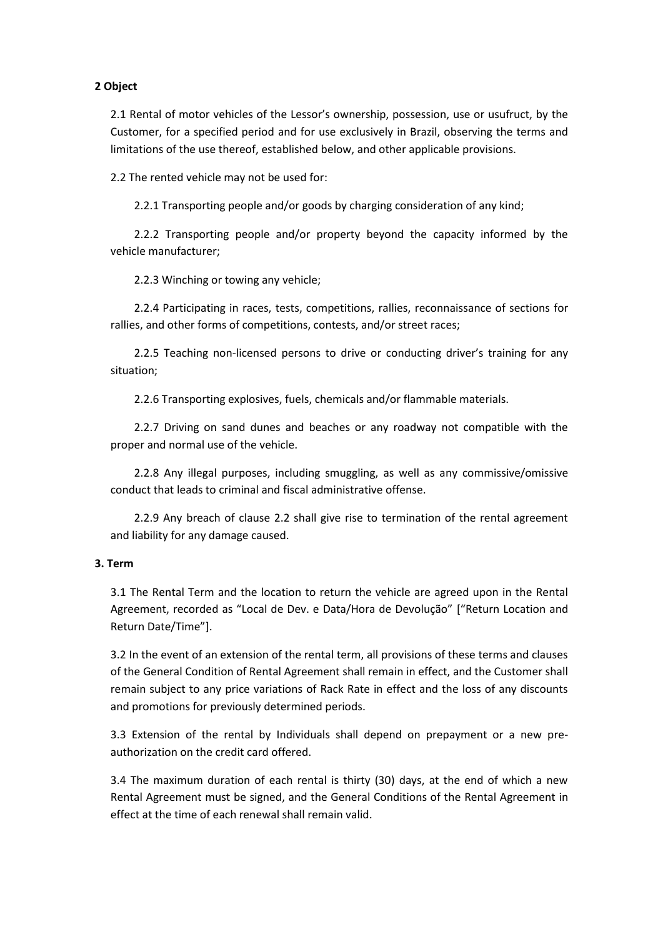# **2 Object**

2.1 Rental of motor vehicles of the Lessor's ownership, possession, use or usufruct, by the Customer, for a specified period and for use exclusively in Brazil, observing the terms and limitations of the use thereof, established below, and other applicable provisions.

2.2 The rented vehicle may not be used for:

2.2.1 Transporting people and/or goods by charging consideration of any kind;

2.2.2 Transporting people and/or property beyond the capacity informed by the vehicle manufacturer;

2.2.3 Winching or towing any vehicle;

2.2.4 Participating in races, tests, competitions, rallies, reconnaissance of sections for rallies, and other forms of competitions, contests, and/or street races;

2.2.5 Teaching non-licensed persons to drive or conducting driver's training for any situation;

2.2.6 Transporting explosives, fuels, chemicals and/or flammable materials.

2.2.7 Driving on sand dunes and beaches or any roadway not compatible with the proper and normal use of the vehicle.

2.2.8 Any illegal purposes, including smuggling, as well as any commissive/omissive conduct that leads to criminal and fiscal administrative offense.

2.2.9 Any breach of clause 2.2 shall give rise to termination of the rental agreement and liability for any damage caused.

## **3. Term**

3.1 The Rental Term and the location to return the vehicle are agreed upon in the Rental Agreement, recorded as "Local de Dev. e Data/Hora de Devolução" ["Return Location and Return Date/Time"].

3.2 In the event of an extension of the rental term, all provisions of these terms and clauses of the General Condition of Rental Agreement shall remain in effect, and the Customer shall remain subject to any price variations of Rack Rate in effect and the loss of any discounts and promotions for previously determined periods.

3.3 Extension of the rental by Individuals shall depend on prepayment or a new preauthorization on the credit card offered.

3.4 The maximum duration of each rental is thirty (30) days, at the end of which a new Rental Agreement must be signed, and the General Conditions of the Rental Agreement in effect at the time of each renewal shall remain valid.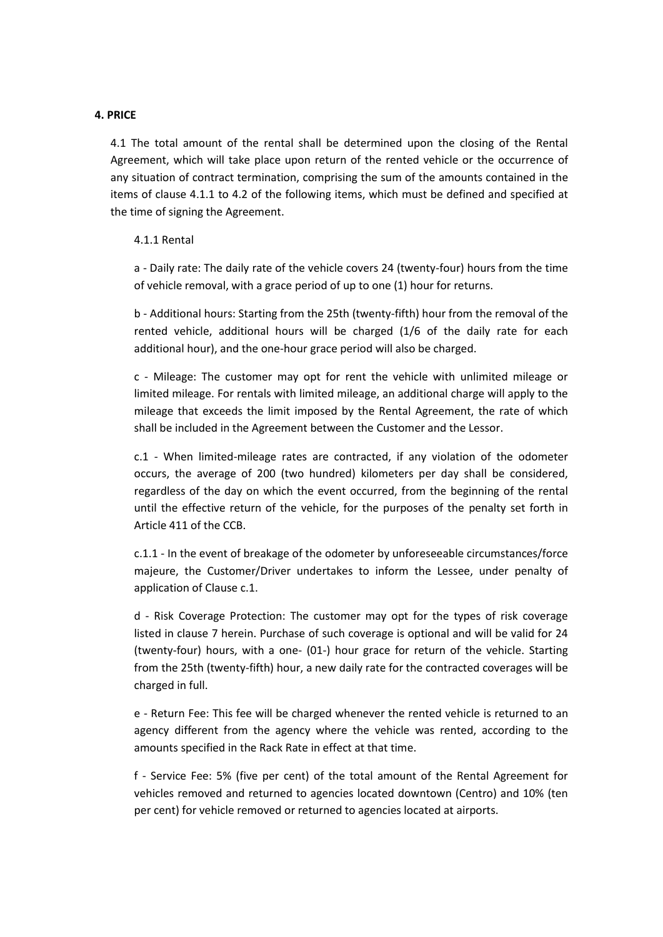#### **4. PRICE**

4.1 The total amount of the rental shall be determined upon the closing of the Rental Agreement, which will take place upon return of the rented vehicle or the occurrence of any situation of contract termination, comprising the sum of the amounts contained in the items of clause 4.1.1 to 4.2 of the following items, which must be defined and specified at the time of signing the Agreement.

#### 4.1.1 Rental

a - Daily rate: The daily rate of the vehicle covers 24 (twenty-four) hours from the time of vehicle removal, with a grace period of up to one (1) hour for returns.

b - Additional hours: Starting from the 25th (twenty-fifth) hour from the removal of the rented vehicle, additional hours will be charged (1/6 of the daily rate for each additional hour), and the one-hour grace period will also be charged.

c - Mileage: The customer may opt for rent the vehicle with unlimited mileage or limited mileage. For rentals with limited mileage, an additional charge will apply to the mileage that exceeds the limit imposed by the Rental Agreement, the rate of which shall be included in the Agreement between the Customer and the Lessor.

c.1 - When limited-mileage rates are contracted, if any violation of the odometer occurs, the average of 200 (two hundred) kilometers per day shall be considered, regardless of the day on which the event occurred, from the beginning of the rental until the effective return of the vehicle, for the purposes of the penalty set forth in Article 411 of the CCB.

c.1.1 - In the event of breakage of the odometer by unforeseeable circumstances/force majeure, the Customer/Driver undertakes to inform the Lessee, under penalty of application of Clause c.1.

d - Risk Coverage Protection: The customer may opt for the types of risk coverage listed in clause 7 herein. Purchase of such coverage is optional and will be valid for 24 (twenty-four) hours, with a one- (01-) hour grace for return of the vehicle. Starting from the 25th (twenty-fifth) hour, a new daily rate for the contracted coverages will be charged in full.

e - Return Fee: This fee will be charged whenever the rented vehicle is returned to an agency different from the agency where the vehicle was rented, according to the amounts specified in the Rack Rate in effect at that time.

f - Service Fee: 5% (five per cent) of the total amount of the Rental Agreement for vehicles removed and returned to agencies located downtown (Centro) and 10% (ten per cent) for vehicle removed or returned to agencies located at airports.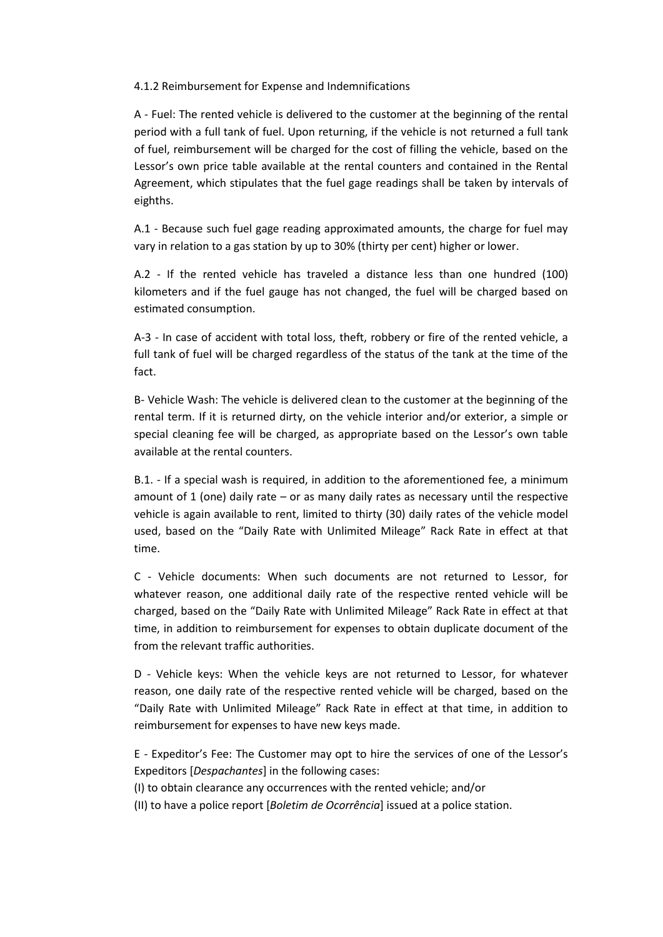4.1.2 Reimbursement for Expense and Indemnifications

A - Fuel: The rented vehicle is delivered to the customer at the beginning of the rental period with a full tank of fuel. Upon returning, if the vehicle is not returned a full tank of fuel, reimbursement will be charged for the cost of filling the vehicle, based on the Lessor's own price table available at the rental counters and contained in the Rental Agreement, which stipulates that the fuel gage readings shall be taken by intervals of eighths.

A.1 - Because such fuel gage reading approximated amounts, the charge for fuel may vary in relation to a gas station by up to 30% (thirty per cent) higher or lower.

A.2 - If the rented vehicle has traveled a distance less than one hundred (100) kilometers and if the fuel gauge has not changed, the fuel will be charged based on estimated consumption.

A-3 - In case of accident with total loss, theft, robbery or fire of the rented vehicle, a full tank of fuel will be charged regardless of the status of the tank at the time of the fact.

B- Vehicle Wash: The vehicle is delivered clean to the customer at the beginning of the rental term. If it is returned dirty, on the vehicle interior and/or exterior, a simple or special cleaning fee will be charged, as appropriate based on the Lessor's own table available at the rental counters.

B.1. - If a special wash is required, in addition to the aforementioned fee, a minimum amount of 1 (one) daily rate – or as many daily rates as necessary until the respective vehicle is again available to rent, limited to thirty (30) daily rates of the vehicle model used, based on the "Daily Rate with Unlimited Mileage" Rack Rate in effect at that time.

C - Vehicle documents: When such documents are not returned to Lessor, for whatever reason, one additional daily rate of the respective rented vehicle will be charged, based on the "Daily Rate with Unlimited Mileage" Rack Rate in effect at that time, in addition to reimbursement for expenses to obtain duplicate document of the from the relevant traffic authorities.

D - Vehicle keys: When the vehicle keys are not returned to Lessor, for whatever reason, one daily rate of the respective rented vehicle will be charged, based on the "Daily Rate with Unlimited Mileage" Rack Rate in effect at that time, in addition to reimbursement for expenses to have new keys made.

E - Expeditor's Fee: The Customer may opt to hire the services of one of the Lessor's Expeditors [*Despachantes*] in the following cases:

(I) to obtain clearance any occurrences with the rented vehicle; and/or

(II) to have a police report [*Boletim de Ocorrência*] issued at a police station.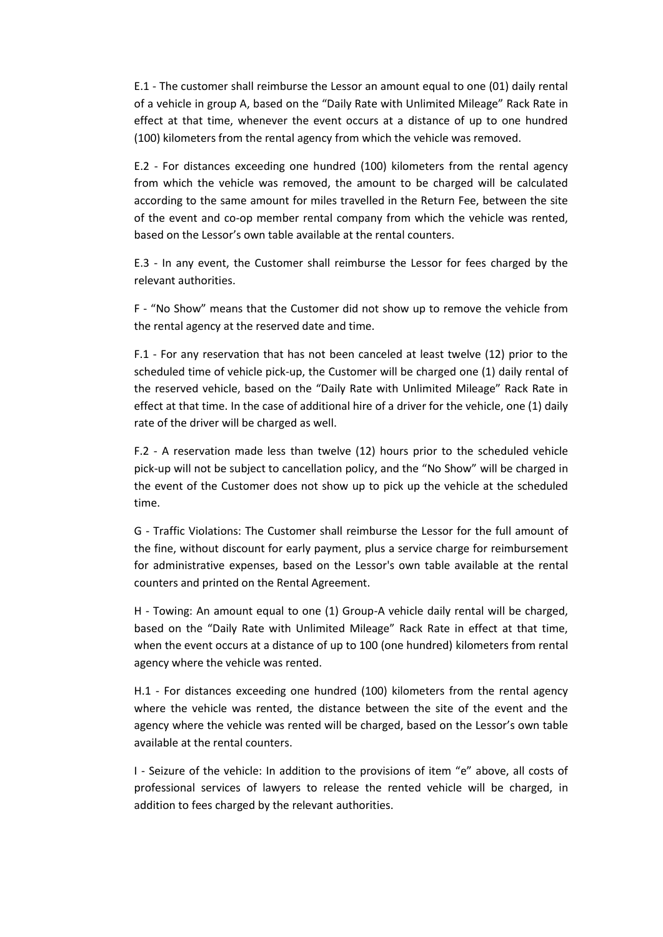E.1 - The customer shall reimburse the Lessor an amount equal to one (01) daily rental of a vehicle in group A, based on the "Daily Rate with Unlimited Mileage" Rack Rate in effect at that time, whenever the event occurs at a distance of up to one hundred (100) kilometers from the rental agency from which the vehicle was removed.

E.2 - For distances exceeding one hundred (100) kilometers from the rental agency from which the vehicle was removed, the amount to be charged will be calculated according to the same amount for miles travelled in the Return Fee, between the site of the event and co-op member rental company from which the vehicle was rented, based on the Lessor's own table available at the rental counters.

E.3 - In any event, the Customer shall reimburse the Lessor for fees charged by the relevant authorities.

F - "No Show" means that the Customer did not show up to remove the vehicle from the rental agency at the reserved date and time.

F.1 - For any reservation that has not been canceled at least twelve (12) prior to the scheduled time of vehicle pick-up, the Customer will be charged one (1) daily rental of the reserved vehicle, based on the "Daily Rate with Unlimited Mileage" Rack Rate in effect at that time. In the case of additional hire of a driver for the vehicle, one (1) daily rate of the driver will be charged as well.

F.2 - A reservation made less than twelve (12) hours prior to the scheduled vehicle pick-up will not be subject to cancellation policy, and the "No Show" will be charged in the event of the Customer does not show up to pick up the vehicle at the scheduled time.

G - Traffic Violations: The Customer shall reimburse the Lessor for the full amount of the fine, without discount for early payment, plus a service charge for reimbursement for administrative expenses, based on the Lessor's own table available at the rental counters and printed on the Rental Agreement.

H - Towing: An amount equal to one (1) Group-A vehicle daily rental will be charged, based on the "Daily Rate with Unlimited Mileage" Rack Rate in effect at that time, when the event occurs at a distance of up to 100 (one hundred) kilometers from rental agency where the vehicle was rented.

H.1 - For distances exceeding one hundred (100) kilometers from the rental agency where the vehicle was rented, the distance between the site of the event and the agency where the vehicle was rented will be charged, based on the Lessor's own table available at the rental counters.

I - Seizure of the vehicle: In addition to the provisions of item "e" above, all costs of professional services of lawyers to release the rented vehicle will be charged, in addition to fees charged by the relevant authorities.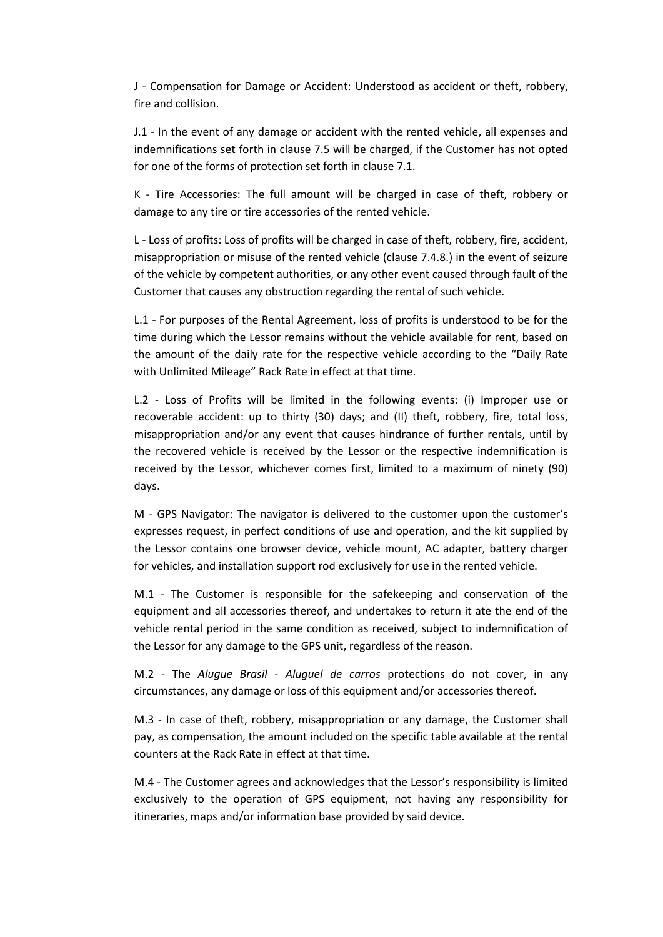J - Compensation for Damage or Accident: Understood as accident or theft, robbery, fire and collision.

J.1 - In the event of any damage or accident with the rented vehicle, all expenses and indemnifications set forth in clause 7.5 will be charged, if the Customer has not opted for one of the forms of protection set forth in clause 7.1.

K - Tire Accessories: The full amount will be charged in case of theft, robbery or damage to any tire or tire accessories of the rented vehicle.

L - Loss of profits: Loss of profits will be charged in case of theft, robbery, fire, accident, misappropriation or misuse of the rented vehicle (clause 7.4.8.) in the event of seizure of the vehicle by competent authorities, or any other event caused through fault of the Customer that causes any obstruction regarding the rental of such vehicle.

L.1 - For purposes of the Rental Agreement, loss of profits is understood to be for the time during which the Lessor remains without the vehicle available for rent, based on the amount of the daily rate for the respective vehicle according to the "Daily Rate with Unlimited Mileage" Rack Rate in effect at that time.

L.2 - Loss of Profits will be limited in the following events: (i) Improper use or recoverable accident: up to thirty (30) days; and (II) theft, robbery, fire, total loss, misappropriation and/or any event that causes hindrance of further rentals, until by the recovered vehicle is received by the Lessor or the respective indemnification is received by the Lessor, whichever comes first, limited to a maximum of ninety (90) days.

M - GPS Navigator: The navigator is delivered to the customer upon the customer's expresses request, in perfect conditions of use and operation, and the kit supplied by the Lessor contains one browser device, vehicle mount, AC adapter, battery charger for vehicles, and installation support rod exclusively for use in the rented vehicle.

M.1 - The Customer is responsible for the safekeeping and conservation of the equipment and all accessories thereof, and undertakes to return it ate the end of the vehicle rental period in the same condition as received, subject to indemnification of the Lessor for any damage to the GPS unit, regardless of the reason.

M.2 - The *Alugue Brasil - Aluguel de carros* protections do not cover, in any circumstances, any damage or loss of this equipment and/or accessories thereof.

M.3 - In case of theft, robbery, misappropriation or any damage, the Customer shall pay, as compensation, the amount included on the specific table available at the rental counters at the Rack Rate in effect at that time.

M.4 - The Customer agrees and acknowledges that the Lessor's responsibility is limited exclusively to the operation of GPS equipment, not having any responsibility for itineraries, maps and/or information base provided by said device.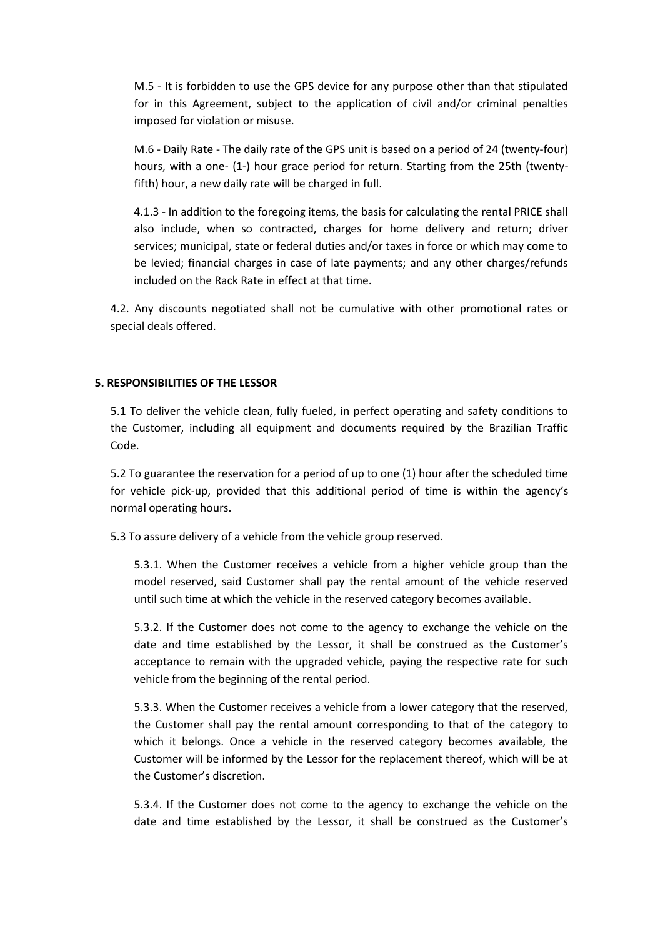M.5 - It is forbidden to use the GPS device for any purpose other than that stipulated for in this Agreement, subject to the application of civil and/or criminal penalties imposed for violation or misuse.

M.6 - Daily Rate - The daily rate of the GPS unit is based on a period of 24 (twenty-four) hours, with a one- (1-) hour grace period for return. Starting from the 25th (twentyfifth) hour, a new daily rate will be charged in full.

4.1.3 - In addition to the foregoing items, the basis for calculating the rental PRICE shall also include, when so contracted, charges for home delivery and return; driver services; municipal, state or federal duties and/or taxes in force or which may come to be levied; financial charges in case of late payments; and any other charges/refunds included on the Rack Rate in effect at that time.

4.2. Any discounts negotiated shall not be cumulative with other promotional rates or special deals offered.

## **5. RESPONSIBILITIES OF THE LESSOR**

5.1 To deliver the vehicle clean, fully fueled, in perfect operating and safety conditions to the Customer, including all equipment and documents required by the Brazilian Traffic Code.

5.2 To guarantee the reservation for a period of up to one (1) hour after the scheduled time for vehicle pick-up, provided that this additional period of time is within the agency's normal operating hours.

5.3 To assure delivery of a vehicle from the vehicle group reserved.

5.3.1. When the Customer receives a vehicle from a higher vehicle group than the model reserved, said Customer shall pay the rental amount of the vehicle reserved until such time at which the vehicle in the reserved category becomes available.

5.3.2. If the Customer does not come to the agency to exchange the vehicle on the date and time established by the Lessor, it shall be construed as the Customer's acceptance to remain with the upgraded vehicle, paying the respective rate for such vehicle from the beginning of the rental period.

5.3.3. When the Customer receives a vehicle from a lower category that the reserved, the Customer shall pay the rental amount corresponding to that of the category to which it belongs. Once a vehicle in the reserved category becomes available, the Customer will be informed by the Lessor for the replacement thereof, which will be at the Customer's discretion.

5.3.4. If the Customer does not come to the agency to exchange the vehicle on the date and time established by the Lessor, it shall be construed as the Customer's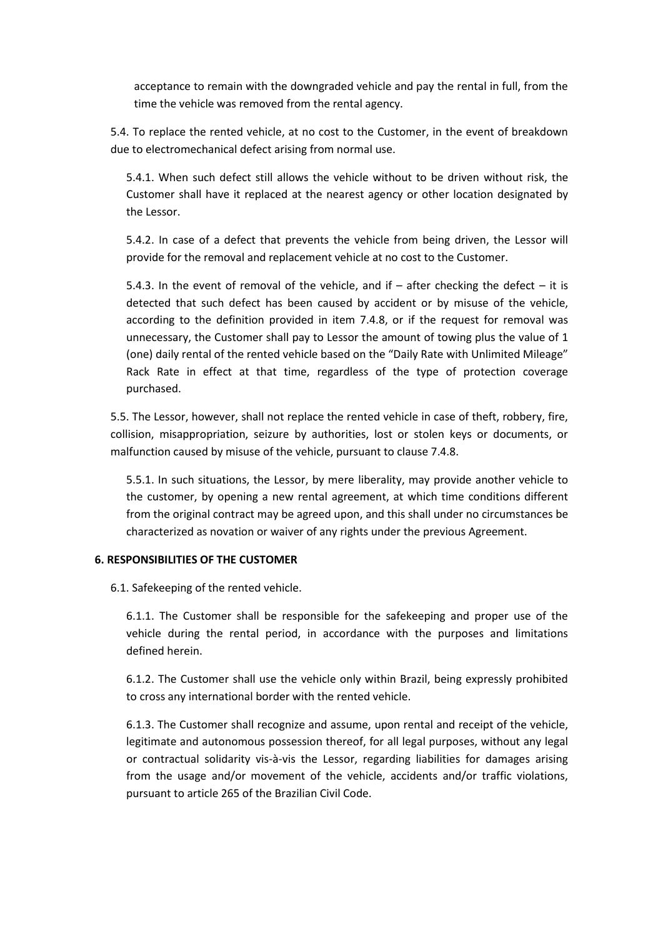acceptance to remain with the downgraded vehicle and pay the rental in full, from the time the vehicle was removed from the rental agency.

5.4. To replace the rented vehicle, at no cost to the Customer, in the event of breakdown due to electromechanical defect arising from normal use.

5.4.1. When such defect still allows the vehicle without to be driven without risk, the Customer shall have it replaced at the nearest agency or other location designated by the Lessor.

5.4.2. In case of a defect that prevents the vehicle from being driven, the Lessor will provide for the removal and replacement vehicle at no cost to the Customer.

5.4.3. In the event of removal of the vehicle, and if  $-$  after checking the defect  $-$  it is detected that such defect has been caused by accident or by misuse of the vehicle, according to the definition provided in item 7.4.8, or if the request for removal was unnecessary, the Customer shall pay to Lessor the amount of towing plus the value of 1 (one) daily rental of the rented vehicle based on the "Daily Rate with Unlimited Mileage" Rack Rate in effect at that time, regardless of the type of protection coverage purchased.

5.5. The Lessor, however, shall not replace the rented vehicle in case of theft, robbery, fire, collision, misappropriation, seizure by authorities, lost or stolen keys or documents, or malfunction caused by misuse of the vehicle, pursuant to clause 7.4.8.

5.5.1. In such situations, the Lessor, by mere liberality, may provide another vehicle to the customer, by opening a new rental agreement, at which time conditions different from the original contract may be agreed upon, and this shall under no circumstances be characterized as novation or waiver of any rights under the previous Agreement.

## **6. RESPONSIBILITIES OF THE CUSTOMER**

6.1. Safekeeping of the rented vehicle.

6.1.1. The Customer shall be responsible for the safekeeping and proper use of the vehicle during the rental period, in accordance with the purposes and limitations defined herein.

6.1.2. The Customer shall use the vehicle only within Brazil, being expressly prohibited to cross any international border with the rented vehicle.

6.1.3. The Customer shall recognize and assume, upon rental and receipt of the vehicle, legitimate and autonomous possession thereof, for all legal purposes, without any legal or contractual solidarity vis-à-vis the Lessor, regarding liabilities for damages arising from the usage and/or movement of the vehicle, accidents and/or traffic violations, pursuant to article 265 of the Brazilian Civil Code.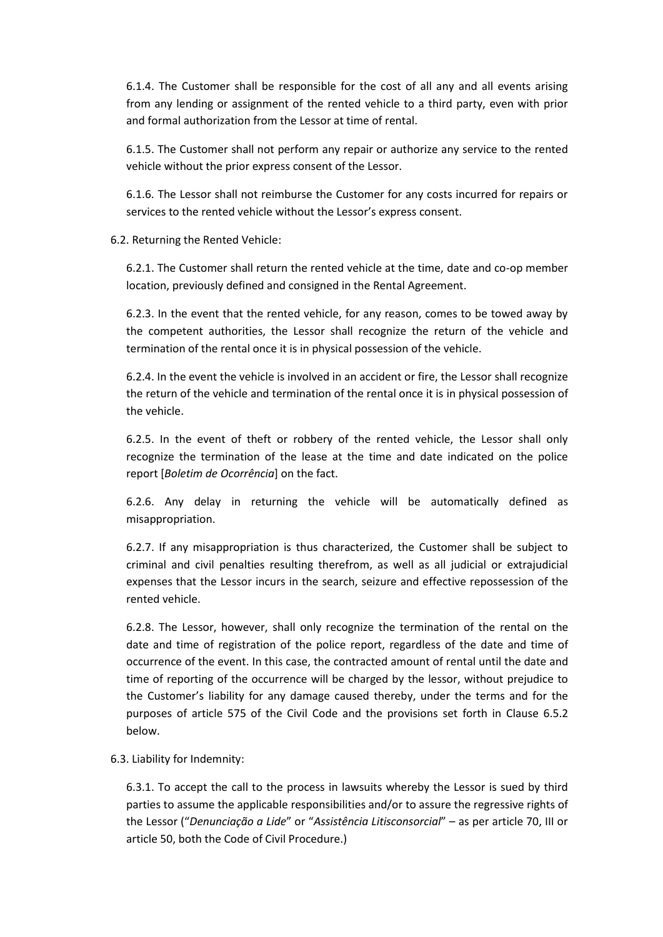6.1.4. The Customer shall be responsible for the cost of all any and all events arising from any lending or assignment of the rented vehicle to a third party, even with prior and formal authorization from the Lessor at time of rental.

6.1.5. The Customer shall not perform any repair or authorize any service to the rented vehicle without the prior express consent of the Lessor.

6.1.6. The Lessor shall not reimburse the Customer for any costs incurred for repairs or services to the rented vehicle without the Lessor's express consent.

6.2. Returning the Rented Vehicle:

6.2.1. The Customer shall return the rented vehicle at the time, date and co-op member location, previously defined and consigned in the Rental Agreement.

6.2.3. In the event that the rented vehicle, for any reason, comes to be towed away by the competent authorities, the Lessor shall recognize the return of the vehicle and termination of the rental once it is in physical possession of the vehicle.

6.2.4. In the event the vehicle is involved in an accident or fire, the Lessor shall recognize the return of the vehicle and termination of the rental once it is in physical possession of the vehicle.

6.2.5. In the event of theft or robbery of the rented vehicle, the Lessor shall only recognize the termination of the lease at the time and date indicated on the police report [*Boletim de Ocorrência*] on the fact.

6.2.6. Any delay in returning the vehicle will be automatically defined as misappropriation.

6.2.7. If any misappropriation is thus characterized, the Customer shall be subject to criminal and civil penalties resulting therefrom, as well as all judicial or extrajudicial expenses that the Lessor incurs in the search, seizure and effective repossession of the rented vehicle.

6.2.8. The Lessor, however, shall only recognize the termination of the rental on the date and time of registration of the police report, regardless of the date and time of occurrence of the event. In this case, the contracted amount of rental until the date and time of reporting of the occurrence will be charged by the lessor, without prejudice to the Customer's liability for any damage caused thereby, under the terms and for the purposes of article 575 of the Civil Code and the provisions set forth in Clause 6.5.2 below.

6.3. Liability for Indemnity:

6.3.1. To accept the call to the process in lawsuits whereby the Lessor is sued by third parties to assume the applicable responsibilities and/or to assure the regressive rights of the Lessor ("*Denunciação a Lide*" or "*Assistência Litisconsorcial*" – as per article 70, III or article 50, both the Code of Civil Procedure.)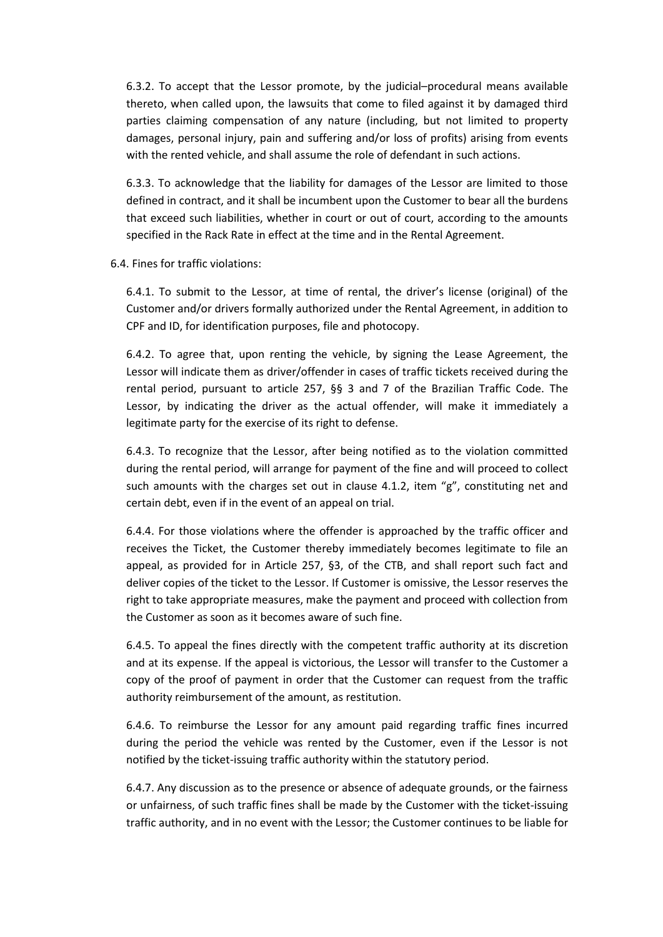6.3.2. To accept that the Lessor promote, by the judicial–procedural means available thereto, when called upon, the lawsuits that come to filed against it by damaged third parties claiming compensation of any nature (including, but not limited to property damages, personal injury, pain and suffering and/or loss of profits) arising from events with the rented vehicle, and shall assume the role of defendant in such actions.

6.3.3. To acknowledge that the liability for damages of the Lessor are limited to those defined in contract, and it shall be incumbent upon the Customer to bear all the burdens that exceed such liabilities, whether in court or out of court, according to the amounts specified in the Rack Rate in effect at the time and in the Rental Agreement.

6.4. Fines for traffic violations:

6.4.1. To submit to the Lessor, at time of rental, the driver's license (original) of the Customer and/or drivers formally authorized under the Rental Agreement, in addition to CPF and ID, for identification purposes, file and photocopy.

6.4.2. To agree that, upon renting the vehicle, by signing the Lease Agreement, the Lessor will indicate them as driver/offender in cases of traffic tickets received during the rental period, pursuant to article 257, §§ 3 and 7 of the Brazilian Traffic Code. The Lessor, by indicating the driver as the actual offender, will make it immediately a legitimate party for the exercise of its right to defense.

6.4.3. To recognize that the Lessor, after being notified as to the violation committed during the rental period, will arrange for payment of the fine and will proceed to collect such amounts with the charges set out in clause 4.1.2, item "g", constituting net and certain debt, even if in the event of an appeal on trial.

6.4.4. For those violations where the offender is approached by the traffic officer and receives the Ticket, the Customer thereby immediately becomes legitimate to file an appeal, as provided for in Article 257, §3, of the CTB, and shall report such fact and deliver copies of the ticket to the Lessor. If Customer is omissive, the Lessor reserves the right to take appropriate measures, make the payment and proceed with collection from the Customer as soon as it becomes aware of such fine.

6.4.5. To appeal the fines directly with the competent traffic authority at its discretion and at its expense. If the appeal is victorious, the Lessor will transfer to the Customer a copy of the proof of payment in order that the Customer can request from the traffic authority reimbursement of the amount, as restitution.

6.4.6. To reimburse the Lessor for any amount paid regarding traffic fines incurred during the period the vehicle was rented by the Customer, even if the Lessor is not notified by the ticket-issuing traffic authority within the statutory period.

6.4.7. Any discussion as to the presence or absence of adequate grounds, or the fairness or unfairness, of such traffic fines shall be made by the Customer with the ticket-issuing traffic authority, and in no event with the Lessor; the Customer continues to be liable for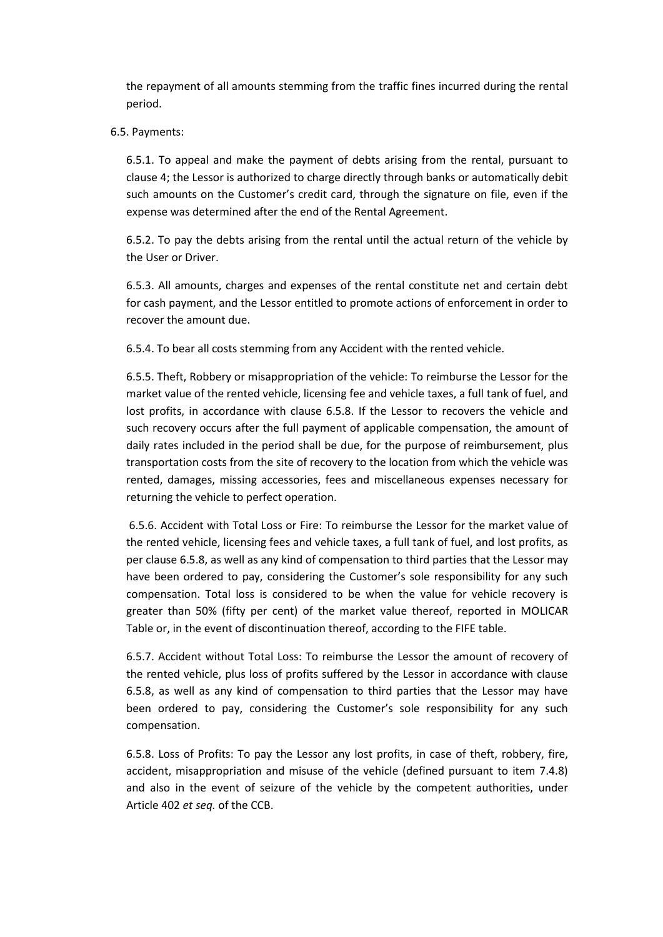the repayment of all amounts stemming from the traffic fines incurred during the rental period.

# 6.5. Payments:

6.5.1. To appeal and make the payment of debts arising from the rental, pursuant to clause 4; the Lessor is authorized to charge directly through banks or automatically debit such amounts on the Customer's credit card, through the signature on file, even if the expense was determined after the end of the Rental Agreement.

6.5.2. To pay the debts arising from the rental until the actual return of the vehicle by the User or Driver.

6.5.3. All amounts, charges and expenses of the rental constitute net and certain debt for cash payment, and the Lessor entitled to promote actions of enforcement in order to recover the amount due.

6.5.4. To bear all costs stemming from any Accident with the rented vehicle.

6.5.5. Theft, Robbery or misappropriation of the vehicle: To reimburse the Lessor for the market value of the rented vehicle, licensing fee and vehicle taxes, a full tank of fuel, and lost profits, in accordance with clause 6.5.8. If the Lessor to recovers the vehicle and such recovery occurs after the full payment of applicable compensation, the amount of daily rates included in the period shall be due, for the purpose of reimbursement, plus transportation costs from the site of recovery to the location from which the vehicle was rented, damages, missing accessories, fees and miscellaneous expenses necessary for returning the vehicle to perfect operation.

6.5.6. Accident with Total Loss or Fire: To reimburse the Lessor for the market value of the rented vehicle, licensing fees and vehicle taxes, a full tank of fuel, and lost profits, as per clause 6.5.8, as well as any kind of compensation to third parties that the Lessor may have been ordered to pay, considering the Customer's sole responsibility for any such compensation. Total loss is considered to be when the value for vehicle recovery is greater than 50% (fifty per cent) of the market value thereof, reported in MOLICAR Table or, in the event of discontinuation thereof, according to the FIFE table.

6.5.7. Accident without Total Loss: To reimburse the Lessor the amount of recovery of the rented vehicle, plus loss of profits suffered by the Lessor in accordance with clause 6.5.8, as well as any kind of compensation to third parties that the Lessor may have been ordered to pay, considering the Customer's sole responsibility for any such compensation.

6.5.8. Loss of Profits: To pay the Lessor any lost profits, in case of theft, robbery, fire, accident, misappropriation and misuse of the vehicle (defined pursuant to item 7.4.8) and also in the event of seizure of the vehicle by the competent authorities, under Article 402 *et seq.* of the CCB.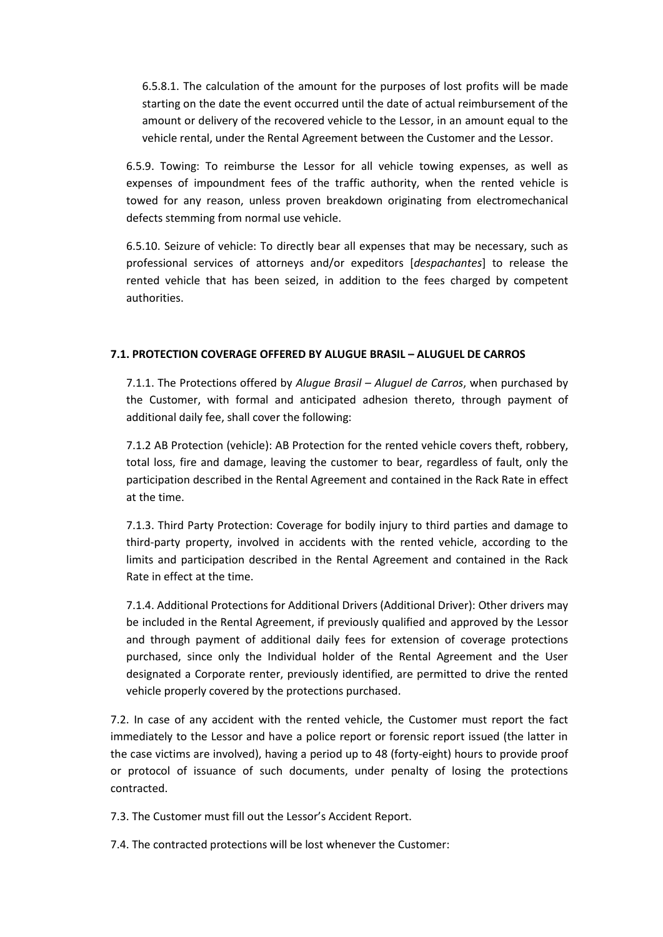6.5.8.1. The calculation of the amount for the purposes of lost profits will be made starting on the date the event occurred until the date of actual reimbursement of the amount or delivery of the recovered vehicle to the Lessor, in an amount equal to the vehicle rental, under the Rental Agreement between the Customer and the Lessor.

6.5.9. Towing: To reimburse the Lessor for all vehicle towing expenses, as well as expenses of impoundment fees of the traffic authority, when the rented vehicle is towed for any reason, unless proven breakdown originating from electromechanical defects stemming from normal use vehicle.

6.5.10. Seizure of vehicle: To directly bear all expenses that may be necessary, such as professional services of attorneys and/or expeditors [*despachantes*] to release the rented vehicle that has been seized, in addition to the fees charged by competent authorities.

# **7.1. PROTECTION COVERAGE OFFERED BY ALUGUE BRASIL – ALUGUEL DE CARROS**

7.1.1. The Protections offered by *Alugue Brasil – Aluguel de Carros*, when purchased by the Customer, with formal and anticipated adhesion thereto, through payment of additional daily fee, shall cover the following:

7.1.2 AB Protection (vehicle): AB Protection for the rented vehicle covers theft, robbery, total loss, fire and damage, leaving the customer to bear, regardless of fault, only the participation described in the Rental Agreement and contained in the Rack Rate in effect at the time.

7.1.3. Third Party Protection: Coverage for bodily injury to third parties and damage to third-party property, involved in accidents with the rented vehicle, according to the limits and participation described in the Rental Agreement and contained in the Rack Rate in effect at the time.

7.1.4. Additional Protections for Additional Drivers (Additional Driver): Other drivers may be included in the Rental Agreement, if previously qualified and approved by the Lessor and through payment of additional daily fees for extension of coverage protections purchased, since only the Individual holder of the Rental Agreement and the User designated a Corporate renter, previously identified, are permitted to drive the rented vehicle properly covered by the protections purchased.

7.2. In case of any accident with the rented vehicle, the Customer must report the fact immediately to the Lessor and have a police report or forensic report issued (the latter in the case victims are involved), having a period up to 48 (forty-eight) hours to provide proof or protocol of issuance of such documents, under penalty of losing the protections contracted.

7.3. The Customer must fill out the Lessor's Accident Report.

7.4. The contracted protections will be lost whenever the Customer: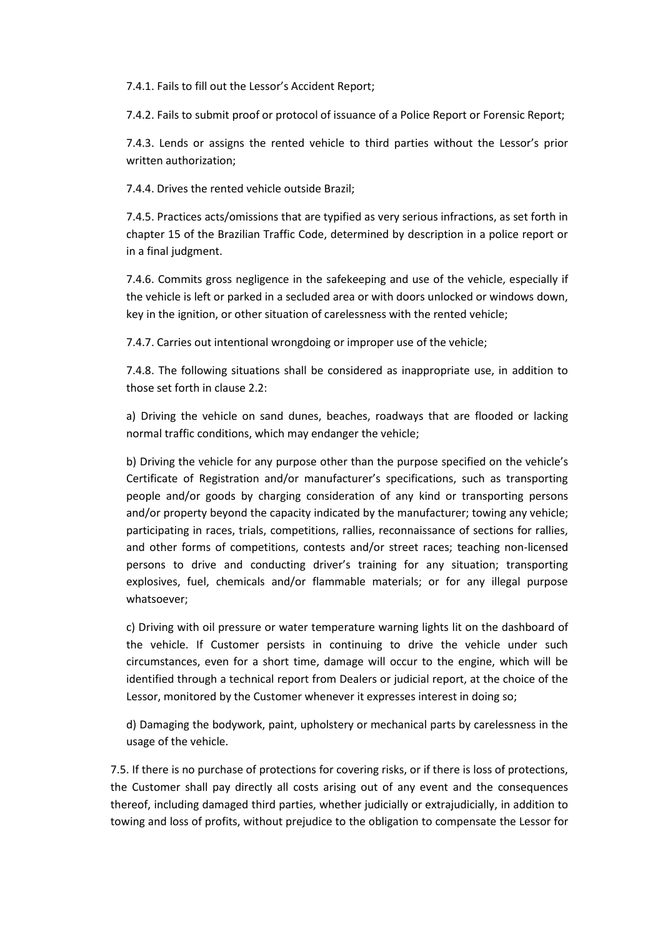7.4.1. Fails to fill out the Lessor's Accident Report;

7.4.2. Fails to submit proof or protocol of issuance of a Police Report or Forensic Report;

7.4.3. Lends or assigns the rented vehicle to third parties without the Lessor's prior written authorization;

7.4.4. Drives the rented vehicle outside Brazil;

7.4.5. Practices acts/omissions that are typified as very serious infractions, as set forth in chapter 15 of the Brazilian Traffic Code, determined by description in a police report or in a final judgment.

7.4.6. Commits gross negligence in the safekeeping and use of the vehicle, especially if the vehicle is left or parked in a secluded area or with doors unlocked or windows down, key in the ignition, or other situation of carelessness with the rented vehicle;

7.4.7. Carries out intentional wrongdoing or improper use of the vehicle;

7.4.8. The following situations shall be considered as inappropriate use, in addition to those set forth in clause 2.2:

a) Driving the vehicle on sand dunes, beaches, roadways that are flooded or lacking normal traffic conditions, which may endanger the vehicle;

b) Driving the vehicle for any purpose other than the purpose specified on the vehicle's Certificate of Registration and/or manufacturer's specifications, such as transporting people and/or goods by charging consideration of any kind or transporting persons and/or property beyond the capacity indicated by the manufacturer; towing any vehicle; participating in races, trials, competitions, rallies, reconnaissance of sections for rallies, and other forms of competitions, contests and/or street races; teaching non-licensed persons to drive and conducting driver's training for any situation; transporting explosives, fuel, chemicals and/or flammable materials; or for any illegal purpose whatsoever;

c) Driving with oil pressure or water temperature warning lights lit on the dashboard of the vehicle. If Customer persists in continuing to drive the vehicle under such circumstances, even for a short time, damage will occur to the engine, which will be identified through a technical report from Dealers or judicial report, at the choice of the Lessor, monitored by the Customer whenever it expresses interest in doing so;

d) Damaging the bodywork, paint, upholstery or mechanical parts by carelessness in the usage of the vehicle.

7.5. If there is no purchase of protections for covering risks, or if there is loss of protections, the Customer shall pay directly all costs arising out of any event and the consequences thereof, including damaged third parties, whether judicially or extrajudicially, in addition to towing and loss of profits, without prejudice to the obligation to compensate the Lessor for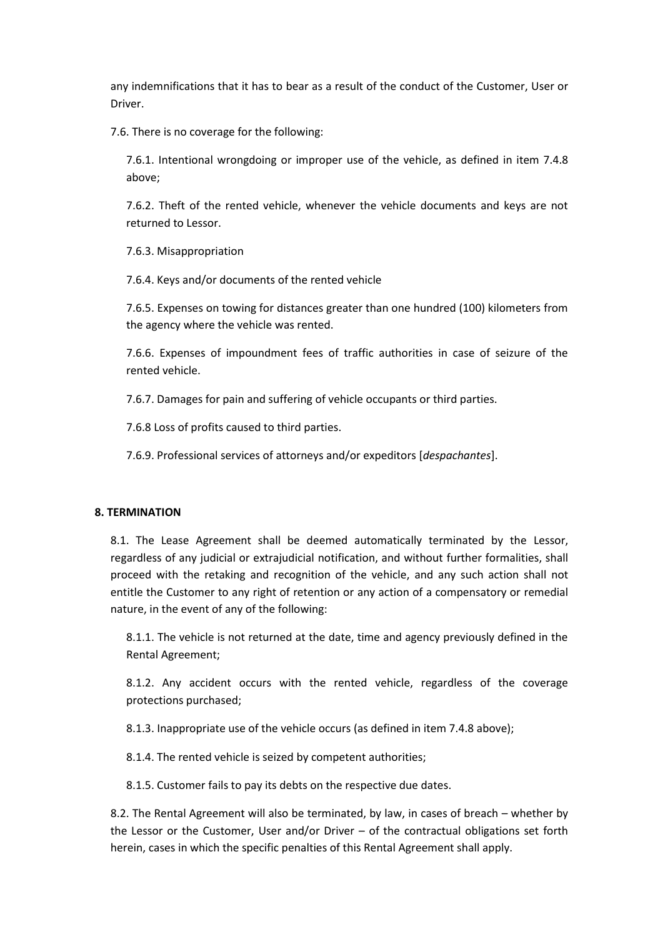any indemnifications that it has to bear as a result of the conduct of the Customer, User or Driver.

7.6. There is no coverage for the following:

7.6.1. Intentional wrongdoing or improper use of the vehicle, as defined in item 7.4.8 above;

7.6.2. Theft of the rented vehicle, whenever the vehicle documents and keys are not returned to Lessor.

7.6.3. Misappropriation

7.6.4. Keys and/or documents of the rented vehicle

7.6.5. Expenses on towing for distances greater than one hundred (100) kilometers from the agency where the vehicle was rented.

7.6.6. Expenses of impoundment fees of traffic authorities in case of seizure of the rented vehicle.

7.6.7. Damages for pain and suffering of vehicle occupants or third parties.

7.6.8 Loss of profits caused to third parties.

7.6.9. Professional services of attorneys and/or expeditors [*despachantes*].

## **8. TERMINATION**

8.1. The Lease Agreement shall be deemed automatically terminated by the Lessor, regardless of any judicial or extrajudicial notification, and without further formalities, shall proceed with the retaking and recognition of the vehicle, and any such action shall not entitle the Customer to any right of retention or any action of a compensatory or remedial nature, in the event of any of the following:

8.1.1. The vehicle is not returned at the date, time and agency previously defined in the Rental Agreement;

8.1.2. Any accident occurs with the rented vehicle, regardless of the coverage protections purchased;

8.1.3. Inappropriate use of the vehicle occurs (as defined in item 7.4.8 above);

8.1.4. The rented vehicle is seized by competent authorities;

8.1.5. Customer fails to pay its debts on the respective due dates.

8.2. The Rental Agreement will also be terminated, by law, in cases of breach – whether by the Lessor or the Customer, User and/or Driver – of the contractual obligations set forth herein, cases in which the specific penalties of this Rental Agreement shall apply.